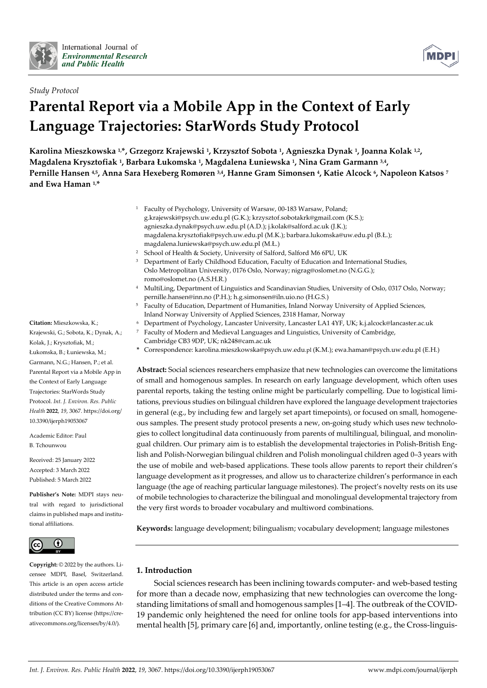

*Study Protocol* 



# **Parental Report via a Mobile App in the Context of Early Language Trajectories: StarWords Study Protocol**

Karolina Mieszkowska <sup>1,\*</sup>, Grzegorz Krajewski <sup>1</sup>, Krzysztof Sobota <sup>1</sup>, Agnieszka Dynak <sup>1</sup>, Joanna Kolak <sup>1,2</sup>, **Magdalena Krysztofiak 1, Barbara Łukomska 1, Magdalena Łuniewska 1, Nina Gram Garmann 3,4, Pernille Hansen 4,5, Anna Sara Hexeberg Romøren 3,4, Hanne Gram Simonsen 4, Katie Alcock 6, Napoleon Katsos 7 and Ewa Haman 1,\*** 

- <sup>1</sup> Faculty of Psychology, University of Warsaw, 00-183 Warsaw, Poland; g.krajewski@psych.uw.edu.pl (G.K.); krzysztof.sobotakrk@gmail.com (K.S.); agnieszka.dynak@psych.uw.edu.pl (A.D.); j.kolak@salford.ac.uk (J.K.); magdalena.krysztofiak@psych.uw.edu.pl (M.K.); barbara.lukomska@uw.edu.pl (B.Ł.); magdalena.luniewska@psych.uw.edu.pl (M.Ł.)
- 2 School of Health & Society, University of Salford, Salford M6 6PU, UK
- 3 Department of Early Childhood Education, Faculty of Education and International Studies, Oslo Metropolitan University, 0176 Oslo, Norway; nigrag@oslomet.no (N.G.G.); romo@oslomet.no (A.S.H.R.)
- 4 MultiLing, Department of Linguistics and Scandinavian Studies, University of Oslo, 0317 Oslo, Norway; pernille.hansen@inn.no (P.H.); h.g.simonsen@iln.uio.no (H.G.S.)
- 5 Faculty of Education, Department of Humanities, Inland Norway University of Applied Sciences, Inland Norway University of Applied Sciences, 2318 Hamar, Norway
- 6 Department of Psychology, Lancaster University, Lancaster LA1 4YF, UK; k.j.alcock@lancaster.ac.uk
- 7 Faculty of Modern and Medieval Languages and Linguistics, University of Cambridge, Cambridge CB3 9DP, UK; nk248@cam.ac.uk
- **\*** Correspondence: karolina.mieszkowska@psych.uw.edu.pl (K.M.); ewa.haman@psych.uw.edu.pl (E.H.)

**Abstract:** Social sciences researchers emphasize that new technologies can overcome the limitations of small and homogenous samples. In research on early language development, which often uses parental reports, taking the testing online might be particularly compelling. Due to logistical limitations, previous studies on bilingual children have explored the language development trajectories in general (e.g., by including few and largely set apart timepoints), or focused on small, homogeneous samples. The present study protocol presents a new, on-going study which uses new technologies to collect longitudinal data continuously from parents of multilingual, bilingual, and monolingual children. Our primary aim is to establish the developmental trajectories in Polish-British English and Polish-Norwegian bilingual children and Polish monolingual children aged 0–3 years with the use of mobile and web-based applications. These tools allow parents to report their children's language development as it progresses, and allow us to characterize children's performance in each language (the age of reaching particular language milestones). The project's novelty rests on its use of mobile technologies to characterize the bilingual and monolingual developmental trajectory from the very first words to broader vocabulary and multiword combinations.

**Keywords:** language development; bilingualism; vocabulary development; language milestones

# **1. Introduction**

Social sciences research has been inclining towards computer- and web-based testing for more than a decade now, emphasizing that new technologies can overcome the longstanding limitations of small and homogenous samples [1–4]. The outbreak of the COVID-19 pandemic only heightened the need for online tools for app-based interventions into mental health [5], primary care [6] and, importantly, online testing (e.g., the Cross-linguis-

**Citation:** Mieszkowska, K.; Krajewski, G.; Sobota, K.; Dynak, A.; Kolak, J.; Krysztofiak, M.; Łukomska, B.; Łuniewska, M.; Garmann, N.G.; Hansen, P.; et al. Parental Report via a Mobile App in the Context of Early Language Trajectories: StarWords Study Protocol. *Int. J. Environ. Res. Public Health* **2022**, *19*, 3067. https://doi.org/ 10.3390/ijerph19053067

Academic Editor: Paul B. Tchounwou

Received: 25 January 2022 Accepted: 3 March 2022 Published: 5 March 2022

**Publisher's Note:** MDPI stays neutral with regard to jurisdictional claims in published maps and institutional affiliations.



**Copyright:** © 2022 by the authors. Licensee MDPI, Basel, Switzerland. This article is an open access article distributed under the terms and conditions of the Creative Commons Attribution (CC BY) license (https://creativecommons.org/licenses/by/4.0/).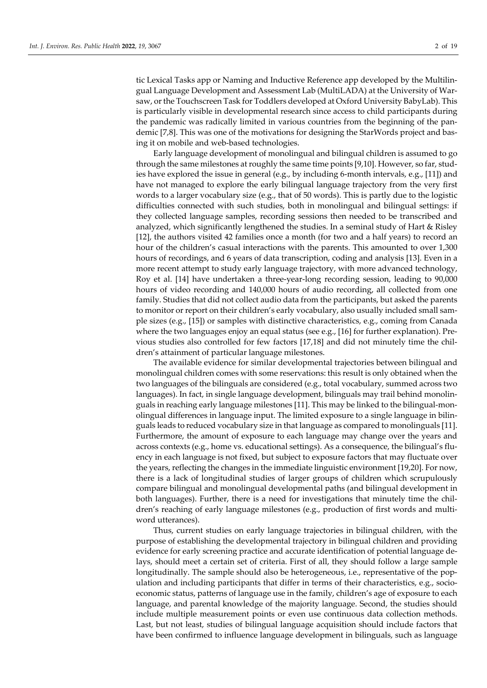tic Lexical Tasks app or Naming and Inductive Reference app developed by the Multilingual Language Development and Assessment Lab (MultiLADA) at the University of Warsaw, or the Touchscreen Task for Toddlers developed at Oxford University BabyLab). This is particularly visible in developmental research since access to child participants during the pandemic was radically limited in various countries from the beginning of the pandemic [7,8]. This was one of the motivations for designing the StarWords project and basing it on mobile and web-based technologies.

Early language development of monolingual and bilingual children is assumed to go through the same milestones at roughly the same time points [9,10]. However, so far, studies have explored the issue in general (e.g., by including 6-month intervals, e.g., [11]) and have not managed to explore the early bilingual language trajectory from the very first words to a larger vocabulary size (e.g., that of 50 words). This is partly due to the logistic difficulties connected with such studies, both in monolingual and bilingual settings: if they collected language samples, recording sessions then needed to be transcribed and analyzed, which significantly lengthened the studies. In a seminal study of Hart & Risley [12], the authors visited 42 families once a month (for two and a half years) to record an hour of the children's casual interactions with the parents. This amounted to over 1,300 hours of recordings, and 6 years of data transcription, coding and analysis [13]. Even in a more recent attempt to study early language trajectory, with more advanced technology, Roy et al. [14] have undertaken a three-year-long recording session, leading to 90,000 hours of video recording and 140,000 hours of audio recording, all collected from one family. Studies that did not collect audio data from the participants, but asked the parents to monitor or report on their children's early vocabulary, also usually included small sample sizes (e.g., [15]) or samples with distinctive characteristics, e.g., coming from Canada where the two languages enjoy an equal status (see e.g., [16] for further explanation). Previous studies also controlled for few factors [17,18] and did not minutely time the children's attainment of particular language milestones.

The available evidence for similar developmental trajectories between bilingual and monolingual children comes with some reservations: this result is only obtained when the two languages of the bilinguals are considered (e.g., total vocabulary, summed across two languages). In fact, in single language development, bilinguals may trail behind monolinguals in reaching early language milestones [11]. This may be linked to the bilingual-monolingual differences in language input. The limited exposure to a single language in bilinguals leads to reduced vocabulary size in that language as compared to monolinguals [11]. Furthermore, the amount of exposure to each language may change over the years and across contexts (e.g., home vs. educational settings). As a consequence, the bilingual's fluency in each language is not fixed, but subject to exposure factors that may fluctuate over the years, reflecting the changes in the immediate linguistic environment [19,20]. For now, there is a lack of longitudinal studies of larger groups of children which scrupulously compare bilingual and monolingual developmental paths (and bilingual development in both languages). Further, there is a need for investigations that minutely time the children's reaching of early language milestones (e.g., production of first words and multiword utterances).

Thus, current studies on early language trajectories in bilingual children, with the purpose of establishing the developmental trajectory in bilingual children and providing evidence for early screening practice and accurate identification of potential language delays, should meet a certain set of criteria. First of all, they should follow a large sample longitudinally. The sample should also be heterogeneous, i.e., representative of the population and including participants that differ in terms of their characteristics, e.g., socioeconomic status, patterns of language use in the family, children's age of exposure to each language, and parental knowledge of the majority language. Second, the studies should include multiple measurement points or even use continuous data collection methods. Last, but not least, studies of bilingual language acquisition should include factors that have been confirmed to influence language development in bilinguals, such as language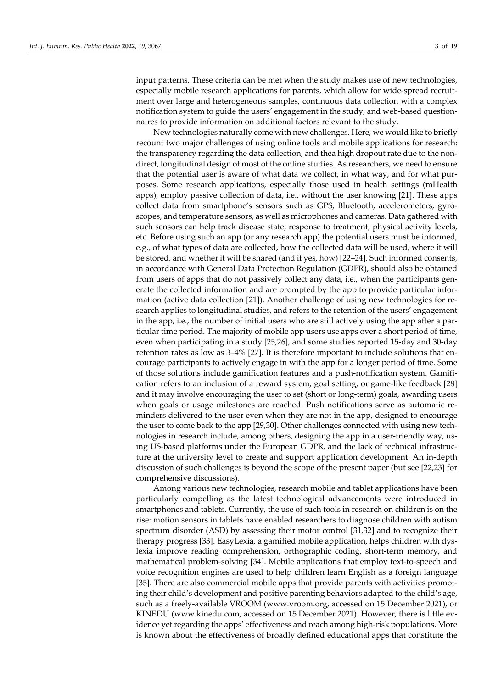input patterns. These criteria can be met when the study makes use of new technologies, especially mobile research applications for parents, which allow for wide-spread recruitment over large and heterogeneous samples, continuous data collection with a complex notification system to guide the users' engagement in the study, and web-based questionnaires to provide information on additional factors relevant to the study.

New technologies naturally come with new challenges. Here, we would like to briefly recount two major challenges of using online tools and mobile applications for research: the transparency regarding the data collection, and thea high dropout rate due to the nondirect, longitudinal design of most of the online studies. As researchers, we need to ensure that the potential user is aware of what data we collect, in what way, and for what purposes. Some research applications, especially those used in health settings (mHealth apps), employ passive collection of data, i.e., without the user knowing [21]. These apps collect data from smartphone's sensors such as GPS, Bluetooth, accelerometers, gyroscopes, and temperature sensors, as well as microphones and cameras. Data gathered with such sensors can help track disease state, response to treatment, physical activity levels, etc. Before using such an app (or any research app) the potential users must be informed, e.g., of what types of data are collected, how the collected data will be used, where it will be stored, and whether it will be shared (and if yes, how) [22–24]. Such informed consents, in accordance with General Data Protection Regulation (GDPR), should also be obtained from users of apps that do not passively collect any data, i.e., when the participants generate the collected information and are prompted by the app to provide particular information (active data collection [21]). Another challenge of using new technologies for research applies to longitudinal studies, and refers to the retention of the users' engagement in the app, i.e., the number of initial users who are still actively using the app after a particular time period. The majority of mobile app users use apps over a short period of time, even when participating in a study [25,26], and some studies reported 15-day and 30-day retention rates as low as 3–4% [27]. It is therefore important to include solutions that encourage participants to actively engage in with the app for a longer period of time. Some of those solutions include gamification features and a push-notification system. Gamification refers to an inclusion of a reward system, goal setting, or game-like feedback [28] and it may involve encouraging the user to set (short or long-term) goals, awarding users when goals or usage milestones are reached. Push notifications serve as automatic reminders delivered to the user even when they are not in the app, designed to encourage the user to come back to the app [29,30]. Other challenges connected with using new technologies in research include, among others, designing the app in a user-friendly way, using US-based platforms under the European GDPR, and the lack of technical infrastructure at the university level to create and support application development. An in-depth discussion of such challenges is beyond the scope of the present paper (but see [22,23] for comprehensive discussions).

Among various new technologies, research mobile and tablet applications have been particularly compelling as the latest technological advancements were introduced in smartphones and tablets. Currently, the use of such tools in research on children is on the rise: motion sensors in tablets have enabled researchers to diagnose children with autism spectrum disorder (ASD) by assessing their motor control [31,32] and to recognize their therapy progress [33]. EasyLexia, a gamified mobile application, helps children with dyslexia improve reading comprehension, orthographic coding, short-term memory, and mathematical problem-solving [34]. Mobile applications that employ text-to-speech and voice recognition engines are used to help children learn English as a foreign language [35]. There are also commercial mobile apps that provide parents with activities promoting their child's development and positive parenting behaviors adapted to the child's age, such as a freely-available VROOM (www.vroom.org, accessed on 15 December 2021), or KINEDU (www.kinedu.com, accessed on 15 December 2021). However, there is little evidence yet regarding the apps' effectiveness and reach among high-risk populations. More is known about the effectiveness of broadly defined educational apps that constitute the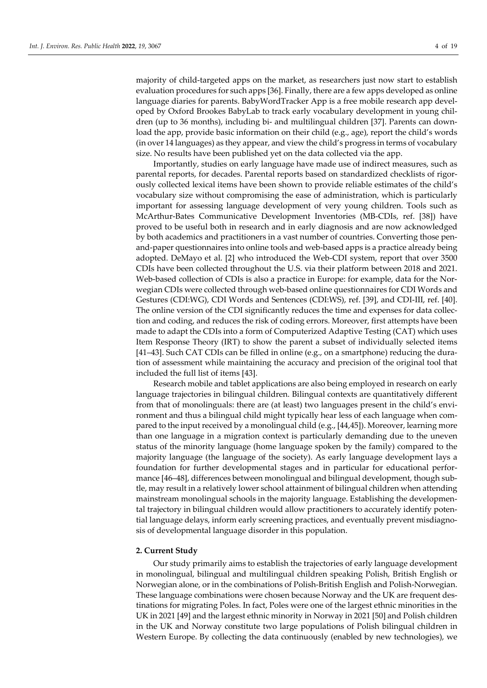majority of child-targeted apps on the market, as researchers just now start to establish evaluation procedures for such apps [36]. Finally, there are a few apps developed as online language diaries for parents. BabyWordTracker App is a free mobile research app developed by Oxford Brookes BabyLab to track early vocabulary development in young children (up to 36 months), including bi- and multilingual children [37]. Parents can download the app, provide basic information on their child (e.g., age), report the child's words (in over 14 languages) as they appear, and view the child's progress in terms of vocabulary size. No results have been published yet on the data collected via the app.

Importantly, studies on early language have made use of indirect measures, such as parental reports, for decades. Parental reports based on standardized checklists of rigorously collected lexical items have been shown to provide reliable estimates of the child's vocabulary size without compromising the ease of administration, which is particularly important for assessing language development of very young children. Tools such as McArthur-Bates Communicative Development Inventories (MB-CDIs, ref. [38]) have proved to be useful both in research and in early diagnosis and are now acknowledged by both academics and practitioners in a vast number of countries. Converting those penand-paper questionnaires into online tools and web-based apps is a practice already being adopted. DeMayo et al. [2] who introduced the Web-CDI system, report that over 3500 CDIs have been collected throughout the U.S. via their platform between 2018 and 2021. Web-based collection of CDIs is also a practice in Europe: for example, data for the Norwegian CDIs were collected through web-based online questionnaires for CDI Words and Gestures (CDI:WG), CDI Words and Sentences (CDI:WS), ref. [39], and CDI-III, ref. [40]. The online version of the CDI significantly reduces the time and expenses for data collection and coding, and reduces the risk of coding errors. Moreover, first attempts have been made to adapt the CDIs into a form of Computerized Adaptive Testing (CAT) which uses Item Response Theory (IRT) to show the parent a subset of individually selected items [41–43]. Such CAT CDIs can be filled in online (e.g., on a smartphone) reducing the duration of assessment while maintaining the accuracy and precision of the original tool that included the full list of items [43].

Research mobile and tablet applications are also being employed in research on early language trajectories in bilingual children. Bilingual contexts are quantitatively different from that of monolinguals: there are (at least) two languages present in the child's environment and thus a bilingual child might typically hear less of each language when compared to the input received by a monolingual child (e.g., [44,45]). Moreover, learning more than one language in a migration context is particularly demanding due to the uneven status of the minority language (home language spoken by the family) compared to the majority language (the language of the society). As early language development lays a foundation for further developmental stages and in particular for educational performance [46–48], differences between monolingual and bilingual development, though subtle, may result in a relatively lower school attainment of bilingual children when attending mainstream monolingual schools in the majority language. Establishing the developmental trajectory in bilingual children would allow practitioners to accurately identify potential language delays, inform early screening practices, and eventually prevent misdiagnosis of developmental language disorder in this population.

## **2. Current Study**

Our study primarily aims to establish the trajectories of early language development in monolingual, bilingual and multilingual children speaking Polish, British English or Norwegian alone, or in the combinations of Polish-British English and Polish-Norwegian. These language combinations were chosen because Norway and the UK are frequent destinations for migrating Poles. In fact, Poles were one of the largest ethnic minorities in the UK in 2021 [49] and the largest ethnic minority in Norway in 2021 [50] and Polish children in the UK and Norway constitute two large populations of Polish bilingual children in Western Europe. By collecting the data continuously (enabled by new technologies), we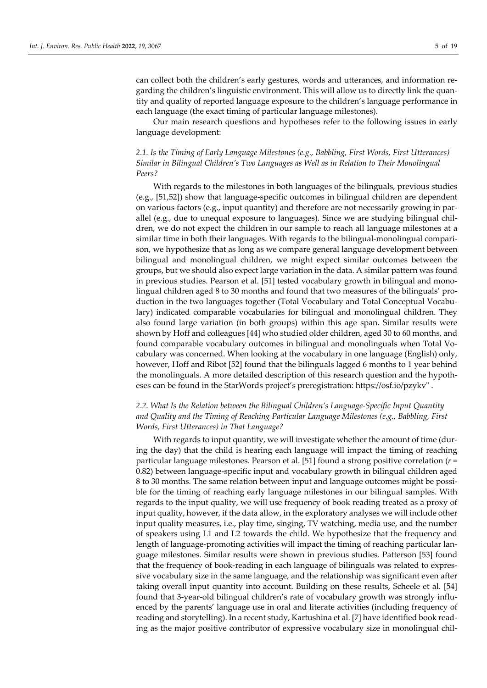can collect both the children's early gestures, words and utterances, and information regarding the children's linguistic environment. This will allow us to directly link the quantity and quality of reported language exposure to the children's language performance in each language (the exact timing of particular language milestones).

Our main research questions and hypotheses refer to the following issues in early language development:

# *2.1. Is the Timing of Early Language Milestones (e.g., Babbling, First Words, First Utterances) Similar in Bilingual Children's Two Languages as Well as in Relation to Their Monolingual Peers?*

With regards to the milestones in both languages of the bilinguals, previous studies (e.g., [51,52]) show that language-specific outcomes in bilingual children are dependent on various factors (e.g., input quantity) and therefore are not necessarily growing in parallel (e.g., due to unequal exposure to languages). Since we are studying bilingual children, we do not expect the children in our sample to reach all language milestones at a similar time in both their languages. With regards to the bilingual-monolingual comparison, we hypothesize that as long as we compare general language development between bilingual and monolingual children, we might expect similar outcomes between the groups, but we should also expect large variation in the data. A similar pattern was found in previous studies. Pearson et al. [51] tested vocabulary growth in bilingual and monolingual children aged 8 to 30 months and found that two measures of the bilinguals' production in the two languages together (Total Vocabulary and Total Conceptual Vocabulary) indicated comparable vocabularies for bilingual and monolingual children. They also found large variation (in both groups) within this age span. Similar results were shown by Hoff and colleagues [44] who studied older children, aged 30 to 60 months, and found comparable vocabulary outcomes in bilingual and monolinguals when Total Vocabulary was concerned. When looking at the vocabulary in one language (English) only, however, Hoff and Ribot [52] found that the bilinguals lagged 6 months to 1 year behind the monolinguals. A more detailed description of this research question and the hypotheses can be found in the StarWords project's preregistration: https://osf.io/pzykv" .

# *2.2. What Is the Relation between the Bilingual Children's Language-Specific Input Quantity and Quality and the Timing of Reaching Particular Language Milestones (e.g., Babbling, First Words, First Utterances) in That Language?*

With regards to input quantity, we will investigate whether the amount of time (during the day) that the child is hearing each language will impact the timing of reaching particular language milestones. Pearson et al. [51] found a strong positive correlation (*r* = 0.82) between language-specific input and vocabulary growth in bilingual children aged 8 to 30 months. The same relation between input and language outcomes might be possible for the timing of reaching early language milestones in our bilingual samples. With regards to the input quality, we will use frequency of book reading treated as a proxy of input quality, however, if the data allow, in the exploratory analyses we will include other input quality measures, i.e., play time, singing, TV watching, media use, and the number of speakers using L1 and L2 towards the child. We hypothesize that the frequency and length of language-promoting activities will impact the timing of reaching particular language milestones. Similar results were shown in previous studies. Patterson [53] found that the frequency of book-reading in each language of bilinguals was related to expressive vocabulary size in the same language, and the relationship was significant even after taking overall input quantity into account. Building on these results, Scheele et al. [54] found that 3-year-old bilingual children's rate of vocabulary growth was strongly influenced by the parents' language use in oral and literate activities (including frequency of reading and storytelling). In a recent study, Kartushina et al. [7] have identified book reading as the major positive contributor of expressive vocabulary size in monolingual chil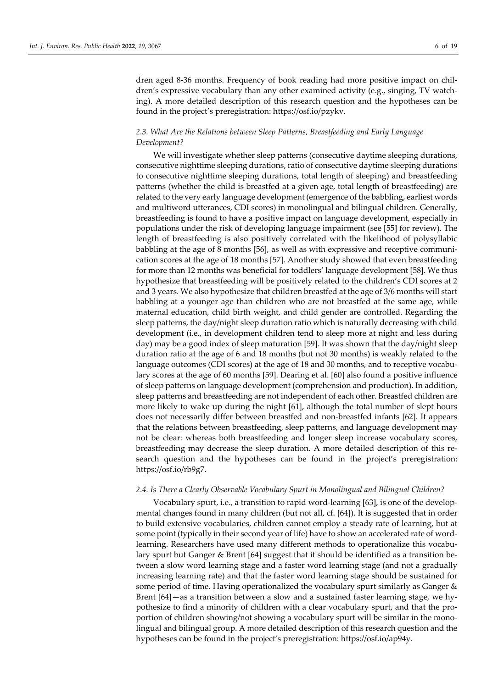dren aged 8-36 months. Frequency of book reading had more positive impact on children's expressive vocabulary than any other examined activity (e.g., singing, TV watching). A more detailed description of this research question and the hypotheses can be found in the project's preregistration: https://osf.io/pzykv.

# *2.3. What Are the Relations between Sleep Patterns, Breastfeeding and Early Language Development?*

We will investigate whether sleep patterns (consecutive daytime sleeping durations, consecutive nighttime sleeping durations, ratio of consecutive daytime sleeping durations to consecutive nighttime sleeping durations, total length of sleeping) and breastfeeding patterns (whether the child is breastfed at a given age, total length of breastfeeding) are related to the very early language development (emergence of the babbling, earliest words and multiword utterances, CDI scores) in monolingual and bilingual children. Generally, breastfeeding is found to have a positive impact on language development, especially in populations under the risk of developing language impairment (see [55] for review). The length of breastfeeding is also positively correlated with the likelihood of polysyllabic babbling at the age of 8 months [56], as well as with expressive and receptive communication scores at the age of 18 months [57]. Another study showed that even breastfeeding for more than 12 months was beneficial for toddlers' language development [58]. We thus hypothesize that breastfeeding will be positively related to the children's CDI scores at 2 and 3 years. We also hypothesize that children breastfed at the age of 3/6 months will start babbling at a younger age than children who are not breastfed at the same age, while maternal education, child birth weight, and child gender are controlled. Regarding the sleep patterns, the day/night sleep duration ratio which is naturally decreasing with child development (i.e., in development children tend to sleep more at night and less during day) may be a good index of sleep maturation [59]. It was shown that the day/night sleep duration ratio at the age of 6 and 18 months (but not 30 months) is weakly related to the language outcomes (CDI scores) at the age of 18 and 30 months, and to receptive vocabulary scores at the age of 60 months [59]. Dearing et al. [60] also found a positive influence of sleep patterns on language development (comprehension and production). In addition, sleep patterns and breastfeeding are not independent of each other. Breastfed children are more likely to wake up during the night [61], although the total number of slept hours does not necessarily differ between breastfed and non-breastfed infants [62]. It appears that the relations between breastfeeding, sleep patterns, and language development may not be clear: whereas both breastfeeding and longer sleep increase vocabulary scores, breastfeeding may decrease the sleep duration. A more detailed description of this research question and the hypotheses can be found in the project's preregistration: https://osf.io/rb9g7.

# *2.4. Is There a Clearly Observable Vocabulary Spurt in Monolingual and Bilingual Children?*

Vocabulary spurt, i.e., a transition to rapid word-learning [63], is one of the developmental changes found in many children (but not all, cf. [64]). It is suggested that in order to build extensive vocabularies, children cannot employ a steady rate of learning, but at some point (typically in their second year of life) have to show an accelerated rate of wordlearning. Researchers have used many different methods to operationalize this vocabulary spurt but Ganger & Brent [64] suggest that it should be identified as a transition between a slow word learning stage and a faster word learning stage (and not a gradually increasing learning rate) and that the faster word learning stage should be sustained for some period of time. Having operationalized the vocabulary spurt similarly as Ganger & Brent [64]—as a transition between a slow and a sustained faster learning stage, we hypothesize to find a minority of children with a clear vocabulary spurt, and that the proportion of children showing/not showing a vocabulary spurt will be similar in the monolingual and bilingual group. A more detailed description of this research question and the hypotheses can be found in the project's preregistration: https://osf.io/ap94y.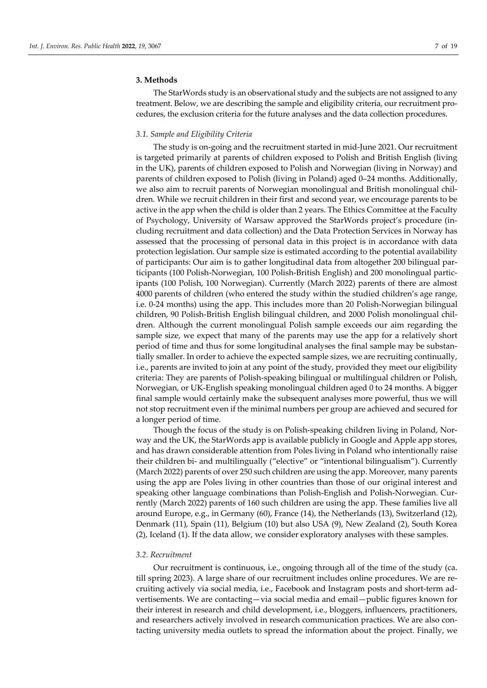## **3. Methods**

The StarWords study is an observational study and the subjects are not assigned to any treatment. Below, we are describing the sample and eligibility criteria, our recruitment procedures, the exclusion criteria for the future analyses and the data collection procedures.

#### *3.1. Sample and Eligibility Criteria*

The study is on-going and the recruitment started in mid-June 2021. Our recruitment is targeted primarily at parents of children exposed to Polish and British English (living in the UK), parents of children exposed to Polish and Norwegian (living in Norway) and parents of children exposed to Polish (living in Poland) aged 0–24 months. Additionally, we also aim to recruit parents of Norwegian monolingual and British monolingual children. While we recruit children in their first and second year, we encourage parents to be active in the app when the child is older than 2 years. The Ethics Committee at the Faculty of Psychology, University of Warsaw approved the StarWords project's procedure (including recruitment and data collection) and the Data Protection Services in Norway has assessed that the processing of personal data in this project is in accordance with data protection legislation. Our sample size is estimated according to the potential availability of participants: Our aim is to gather longitudinal data from altogether 200 bilingual participants (100 Polish-Norwegian, 100 Polish-British English) and 200 monolingual participants (100 Polish, 100 Norwegian). Currently (March 2022) parents of there are almost 4000 parents of children (who entered the study within the studied children's age range, i.e. 0-24 months) using the app. This includes more than 20 Polish-Norwegian bilingual children, 90 Polish-British English bilingual children, and 2000 Polish monolingual children. Although the current monolingual Polish sample exceeds our aim regarding the sample size, we expect that many of the parents may use the app for a relatively short period of time and thus for some longitudinal analyses the final sample may be substantially smaller. In order to achieve the expected sample sizes, we are recruiting continually, i.e., parents are invited to join at any point of the study, provided they meet our eligibility criteria: They are parents of Polish-speaking bilingual or multilingual children or Polish, Norwegian, or UK-English speaking monolingual children aged 0 to 24 months. A bigger final sample would certainly make the subsequent analyses more powerful, thus we will not stop recruitment even if the minimal numbers per group are achieved and secured for a longer period of time.

Though the focus of the study is on Polish-speaking children living in Poland, Norway and the UK, the StarWords app is available publicly in Google and Apple app stores, and has drawn considerable attention from Poles living in Poland who intentionally raise their children bi- and multilingually ("elective" or "intentional bilingualism"). Currently (March 2022) parents of over 250 such children are using the app. Moreover, many parents using the app are Poles living in other countries than those of our original interest and speaking other language combinations than Polish-English and Polish-Norwegian. Currently (March 2022) parents of 160 such children are using the app. These families live all around Europe, e.g., in Germany (60), France (14), the Netherlands (13), Switzerland (12), Denmark (11), Spain (11), Belgium (10) but also USA (9), New Zealand (2), South Korea (2), Iceland (1). If the data allow, we consider exploratory analyses with these samples.

## *3.2. Recruitment*

Our recruitment is continuous, i.e., ongoing through all of the time of the study (ca. till spring 2023). A large share of our recruitment includes online procedures. We are recruiting actively via social media, i.e., Facebook and Instagram posts and short-term advertisements. We are contacting—via social media and email—public figures known for their interest in research and child development, i.e., bloggers, influencers, practitioners, and researchers actively involved in research communication practices. We are also contacting university media outlets to spread the information about the project. Finally, we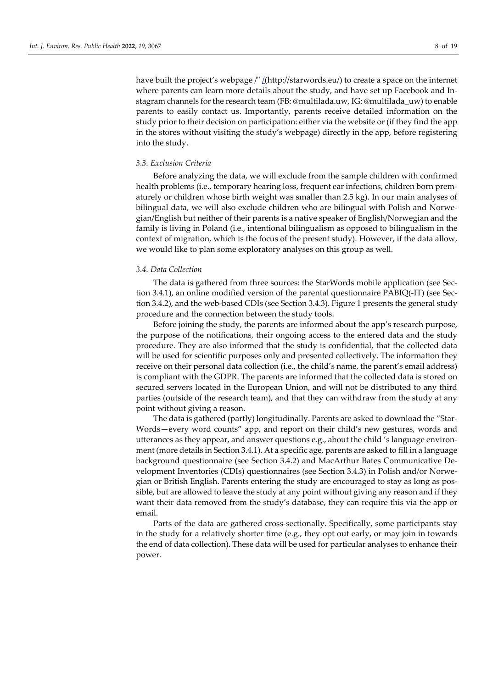have built the project's webpage /" /(http://starwords.eu/) to create a space on the internet where parents can learn more details about the study, and have set up Facebook and Instagram channels for the research team (FB: @multilada.uw, IG: @multilada\_uw) to enable parents to easily contact us. Importantly, parents receive detailed information on the study prior to their decision on participation: either via the website or (if they find the app in the stores without visiting the study's webpage) directly in the app, before registering into the study.

# *3.3. Exclusion Criteria*

Before analyzing the data, we will exclude from the sample children with confirmed health problems (i.e., temporary hearing loss, frequent ear infections, children born prematurely or children whose birth weight was smaller than 2.5 kg). In our main analyses of bilingual data, we will also exclude children who are bilingual with Polish and Norwegian/English but neither of their parents is a native speaker of English/Norwegian and the family is living in Poland (i.e., intentional bilingualism as opposed to bilingualism in the context of migration, which is the focus of the present study). However, if the data allow, we would like to plan some exploratory analyses on this group as well.

#### *3.4. Data Collection*

The data is gathered from three sources: the StarWords mobile application (see Section 3.4.1), an online modified version of the parental questionnaire PABIQ(-IT) (see Section 3.4.2), and the web-based CDIs (see Section 3.4.3). Figure 1 presents the general study procedure and the connection between the study tools.

Before joining the study, the parents are informed about the app's research purpose, the purpose of the notifications, their ongoing access to the entered data and the study procedure. They are also informed that the study is confidential, that the collected data will be used for scientific purposes only and presented collectively. The information they receive on their personal data collection (i.e., the child's name, the parent's email address) is compliant with the GDPR. The parents are informed that the collected data is stored on secured servers located in the European Union, and will not be distributed to any third parties (outside of the research team), and that they can withdraw from the study at any point without giving a reason.

The data is gathered (partly) longitudinally. Parents are asked to download the "Star-Words—every word counts" app, and report on their child's new gestures, words and utterances as they appear, and answer questions e.g., about the child 's language environment (more details in Section 3.4.1). At a specific age, parents are asked to fill in a language background questionnaire (see Section 3.4.2) and MacArthur Bates Communicative Development Inventories (CDIs) questionnaires (see Section 3.4.3) in Polish and/or Norwegian or British English. Parents entering the study are encouraged to stay as long as possible, but are allowed to leave the study at any point without giving any reason and if they want their data removed from the study's database, they can require this via the app or email.

Parts of the data are gathered cross-sectionally. Specifically, some participants stay in the study for a relatively shorter time (e.g., they opt out early, or may join in towards the end of data collection). These data will be used for particular analyses to enhance their power.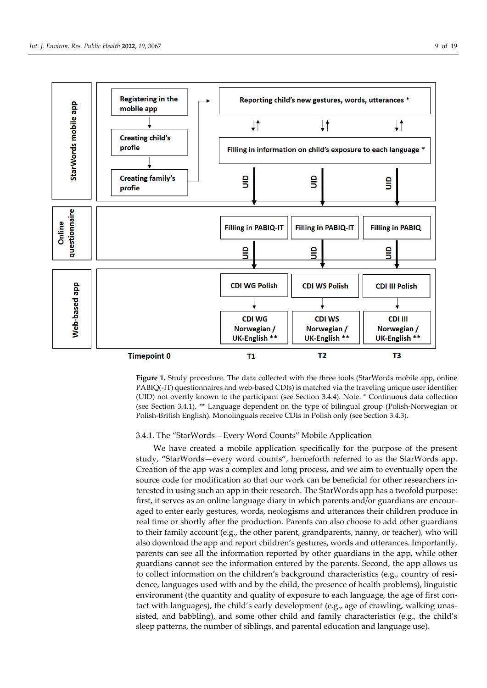

**Figure 1.** Study procedure. The data collected with the three tools (StarWords mobile app, online PABIQ(-IT) questionnaires and web-based CDIs) is matched via the traveling unique user identifier (UID) not overtly known to the participant (see Section 3.4.4). Note. \* Continuous data collection (see Section 3.4.1). \*\* Language dependent on the type of bilingual group (Polish-Norwegian or Polish-British English). Monolinguals receive CDIs in Polish only (see Section 3.4.3).

# 3.4.1. The "StarWords—Every Word Counts" Mobile Application

We have created a mobile application specifically for the purpose of the present study, "StarWords—every word counts", henceforth referred to as the StarWords app. Creation of the app was a complex and long process, and we aim to eventually open the source code for modification so that our work can be beneficial for other researchers interested in using such an app in their research. The StarWords app has a twofold purpose: first, it serves as an online language diary in which parents and/or guardians are encouraged to enter early gestures, words, neologisms and utterances their children produce in real time or shortly after the production. Parents can also choose to add other guardians to their family account (e.g., the other parent, grandparents, nanny, or teacher), who will also download the app and report children's gestures, words and utterances. Importantly, parents can see all the information reported by other guardians in the app, while other guardians cannot see the information entered by the parents. Second, the app allows us to collect information on the children's background characteristics (e.g., country of residence, languages used with and by the child, the presence of health problems), linguistic environment (the quantity and quality of exposure to each language, the age of first contact with languages), the child's early development (e.g., age of crawling, walking unassisted, and babbling), and some other child and family characteristics (e.g., the child's sleep patterns, the number of siblings, and parental education and language use).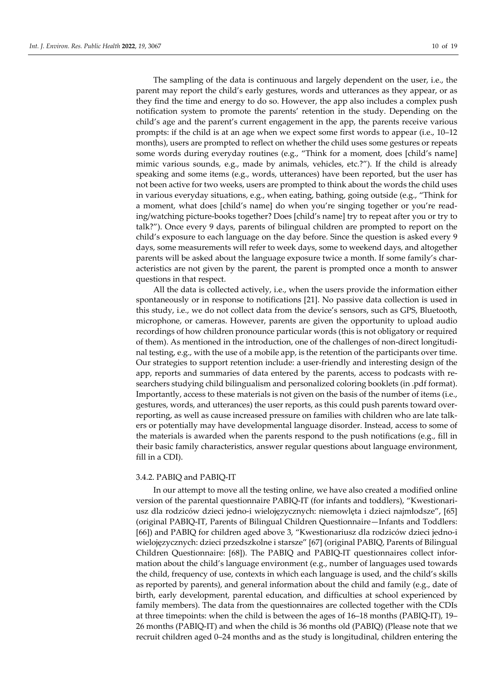The sampling of the data is continuous and largely dependent on the user, i.e., the parent may report the child's early gestures, words and utterances as they appear, or as they find the time and energy to do so. However, the app also includes a complex push notification system to promote the parents' retention in the study. Depending on the child's age and the parent's current engagement in the app, the parents receive various prompts: if the child is at an age when we expect some first words to appear (i.e., 10–12 months), users are prompted to reflect on whether the child uses some gestures or repeats some words during everyday routines (e.g., "Think for a moment, does [child's name] mimic various sounds, e.g., made by animals, vehicles, etc.?"). If the child is already speaking and some items (e.g., words, utterances) have been reported, but the user has not been active for two weeks, users are prompted to think about the words the child uses in various everyday situations, e.g., when eating, bathing, going outside (e.g., "Think for a moment, what does [child's name] do when you're singing together or you're reading/watching picture-books together? Does [child's name] try to repeat after you or try to talk?"). Once every 9 days, parents of bilingual children are prompted to report on the child's exposure to each language on the day before. Since the question is asked every 9 days, some measurements will refer to week days, some to weekend days, and altogether parents will be asked about the language exposure twice a month. If some family's characteristics are not given by the parent, the parent is prompted once a month to answer questions in that respect.

All the data is collected actively, i.e., when the users provide the information either spontaneously or in response to notifications [21]. No passive data collection is used in this study, i.e., we do not collect data from the device's sensors, such as GPS, Bluetooth, microphone, or cameras. However, parents are given the opportunity to upload audio recordings of how children pronounce particular words (this is not obligatory or required of them). As mentioned in the introduction, one of the challenges of non-direct longitudinal testing, e.g., with the use of a mobile app, is the retention of the participants over time. Our strategies to support retention include: a user-friendly and interesting design of the app, reports and summaries of data entered by the parents, access to podcasts with researchers studying child bilingualism and personalized coloring booklets (in .pdf format). Importantly, access to these materials is not given on the basis of the number of items (i.e., gestures, words, and utterances) the user reports, as this could push parents toward overreporting, as well as cause increased pressure on families with children who are late talkers or potentially may have developmental language disorder. Instead, access to some of the materials is awarded when the parents respond to the push notifications (e.g., fill in their basic family characteristics, answer regular questions about language environment, fill in a CDI).

## 3.4.2. PABIQ and PABIQ-IT

In our attempt to move all the testing online, we have also created a modified online version of the parental questionnaire PABIQ-IT (for infants and toddlers), "Kwestionariusz dla rodziców dzieci jedno-i wielojęzycznych: niemowlęta i dzieci najmłodsze", [65] (original PABIQ-IT, Parents of Bilingual Children Questionnaire—Infants and Toddlers: [66]) and PABIQ for children aged above 3, "Kwestionariusz dla rodziców dzieci jedno-i wielojęzycznych: dzieci przedszkolne i starsze" [67] (original PABIQ, Parents of Bilingual Children Questionnaire: [68]). The PABIQ and PABIQ-IT questionnaires collect information about the child's language environment (e.g., number of languages used towards the child, frequency of use, contexts in which each language is used, and the child's skills as reported by parents), and general information about the child and family (e.g., date of birth, early development, parental education, and difficulties at school experienced by family members). The data from the questionnaires are collected together with the CDIs at three timepoints: when the child is between the ages of 16–18 months (PABIQ-IT), 19– 26 months (PABIQ-IT) and when the child is 36 months old (PABIQ) (Please note that we recruit children aged 0–24 months and as the study is longitudinal, children entering the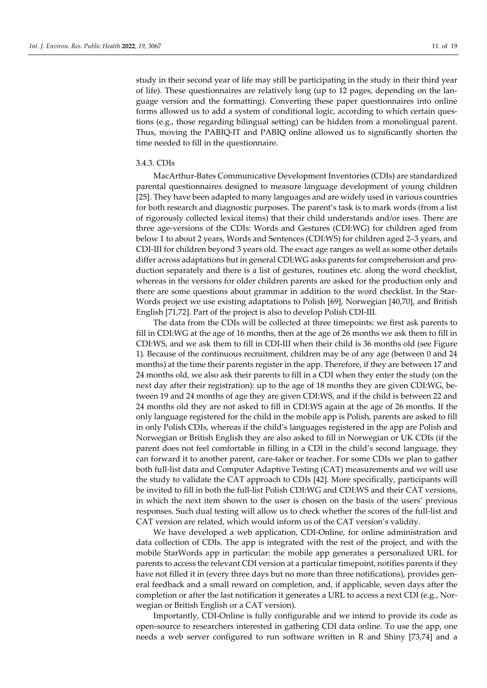study in their second year of life may still be participating in the study in their third year of life). These questionnaires are relatively long (up to 12 pages, depending on the language version and the formatting). Converting these paper questionnaires into online forms allowed us to add a system of conditional logic, according to which certain questions (e.g., those regarding bilingual setting) can be hidden from a monolingual parent. Thus, moving the PABIQ-IT and PABIQ online allowed us to significantly shorten the time needed to fill in the questionnaire.

# 3.4.3. CDIs

MacArthur-Bates Communicative Development Inventories (CDIs) are standardized parental questionnaires designed to measure language development of young children [25]. They have been adapted to many languages and are widely used in various countries for both research and diagnostic purposes. The parent's task is to mark words (from a list of rigorously collected lexical items) that their child understands and/or uses. There are three age-versions of the CDIs: Words and Gestures (CDI:WG) for children aged from below 1 to about 2 years, Words and Sentences (CDI:WS) for children aged 2–3 years, and CDI-III for children beyond 3 years old. The exact age ranges as well as some other details differ across adaptations but in general CDI:WG asks parents for comprehension and production separately and there is a list of gestures, routines etc. along the word checklist, whereas in the versions for older children parents are asked for the production only and there are some questions about grammar in addition to the word checklist. In the Star-Words project we use existing adaptations to Polish [69], Norwegian [40,70], and British English [71,72]. Part of the project is also to develop Polish CDI-III.

The data from the CDIs will be collected at three timepoints: we first ask parents to fill in CDI:WG at the age of 16 months, then at the age of 26 months we ask them to fill in CDI:WS, and we ask them to fill in CDI-III when their child is 36 months old (see Figure 1). Because of the continuous recruitment, children may be of any age (between 0 and 24 months) at the time their parents register in the app. Therefore, if they are between 17 and 24 months old, we also ask their parents to fill in a CDI when they enter the study (on the next day after their registration): up to the age of 18 months they are given CDI:WG, between 19 and 24 months of age they are given CDI:WS, and if the child is between 22 and 24 months old they are not asked to fill in CDI:WS again at the age of 26 months. If the only language registered for the child in the mobile app is Polish, parents are asked to fill in only Polish CDIs, whereas if the child's languages registered in the app are Polish and Norwegian or British English they are also asked to fill in Norwegian or UK CDIs (if the parent does not feel comfortable in filling in a CDI in the child's second language, they can forward it to another parent, care-taker or teacher. For some CDIs we plan to gather both full-list data and Computer Adaptive Testing (CAT) measurements and we will use the study to validate the CAT approach to CDIs [42]. More specifically, participants will be invited to fill in both the full-list Polish CDI:WG and CDI:WS and their CAT versions, in which the next item shown to the user is chosen on the basis of the users' previous responses. Such dual testing will allow us to check whether the scores of the full-list and CAT version are related, which would inform us of the CAT version's validity.

We have developed a web application, CDI-Online, for online administration and data collection of CDIs. The app is integrated with the rest of the project, and with the mobile StarWords app in particular: the mobile app generates a personalized URL for parents to access the relevant CDI version at a particular timepoint, notifies parents if they have not filled it in (every three days but no more than three notifications), provides general feedback and a small reward on completion, and, if applicable, seven days after the completion or after the last notification it generates a URL to access a next CDI (e.g., Norwegian or British English or a CAT version).

Importantly, CDI-Online is fully configurable and we intend to provide its code as open-source to researchers interested in gathering CDI data online. To use the app, one needs a web server configured to run software written in R and Shiny [73,74] and a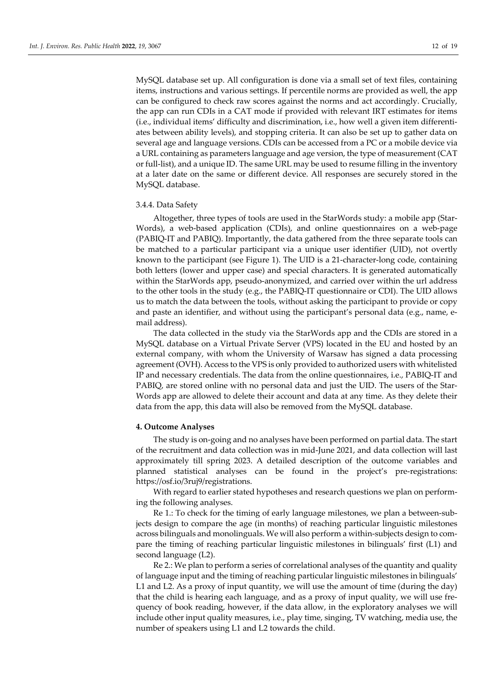MySQL database set up. All configuration is done via a small set of text files, containing items, instructions and various settings. If percentile norms are provided as well, the app can be configured to check raw scores against the norms and act accordingly. Crucially, the app can run CDIs in a CAT mode if provided with relevant IRT estimates for items (i.e., individual items' difficulty and discrimination, i.e., how well a given item differentiates between ability levels), and stopping criteria. It can also be set up to gather data on several age and language versions. CDIs can be accessed from a PC or a mobile device via a URL containing as parameters language and age version, the type of measurement (CAT or full-list), and a unique ID. The same URL may be used to resume filling in the inventory at a later date on the same or different device. All responses are securely stored in the MySQL database.

#### 3.4.4. Data Safety

Altogether, three types of tools are used in the StarWords study: a mobile app (Star-Words), a web-based application (CDIs), and online questionnaires on a web-page (PABIQ-IT and PABIQ). Importantly, the data gathered from the three separate tools can be matched to a particular participant via a unique user identifier (UID), not overtly known to the participant (see Figure 1). The UID is a 21-character-long code, containing both letters (lower and upper case) and special characters. It is generated automatically within the StarWords app, pseudo-anonymized, and carried over within the url address to the other tools in the study (e.g., the PABIQ-IT questionnaire or CDI). The UID allows us to match the data between the tools, without asking the participant to provide or copy and paste an identifier, and without using the participant's personal data (e.g., name, email address).

The data collected in the study via the StarWords app and the CDIs are stored in a MySQL database on a Virtual Private Server (VPS) located in the EU and hosted by an external company, with whom the University of Warsaw has signed a data processing agreement (OVH). Access to the VPS is only provided to authorized users with whitelisted IP and necessary credentials. The data from the online questionnaires, i.e., PABIQ-IT and PABIQ, are stored online with no personal data and just the UID. The users of the Star-Words app are allowed to delete their account and data at any time. As they delete their data from the app, this data will also be removed from the MySQL database.

# **4. Outcome Analyses**

The study is on-going and no analyses have been performed on partial data. The start of the recruitment and data collection was in mid-June 2021, and data collection will last approximately till spring 2023. A detailed description of the outcome variables and planned statistical analyses can be found in the project's pre-registrations: https://osf.io/3ruj9/registrations.

With regard to earlier stated hypotheses and research questions we plan on performing the following analyses.

Re 1.: To check for the timing of early language milestones, we plan a between-subjects design to compare the age (in months) of reaching particular linguistic milestones across bilinguals and monolinguals. We will also perform a within-subjects design to compare the timing of reaching particular linguistic milestones in bilinguals' first (L1) and second language (L2).

Re 2.: We plan to perform a series of correlational analyses of the quantity and quality of language input and the timing of reaching particular linguistic milestones in bilinguals' L1 and L2. As a proxy of input quantity, we will use the amount of time (during the day) that the child is hearing each language, and as a proxy of input quality, we will use frequency of book reading, however, if the data allow, in the exploratory analyses we will include other input quality measures, i.e., play time, singing, TV watching, media use, the number of speakers using L1 and L2 towards the child.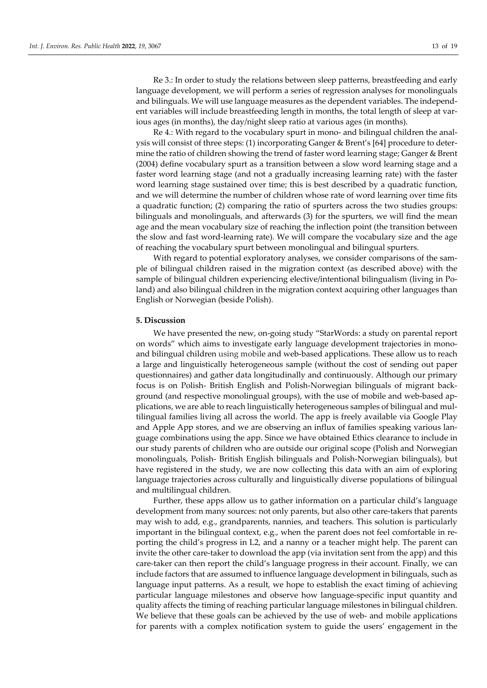Re 3.: In order to study the relations between sleep patterns, breastfeeding and early language development, we will perform a series of regression analyses for monolinguals and bilinguals. We will use language measures as the dependent variables. The independent variables will include breastfeeding length in months, the total length of sleep at various ages (in months), the day/night sleep ratio at various ages (in months).

Re 4.: With regard to the vocabulary spurt in mono- and bilingual children the analysis will consist of three steps: (1) incorporating Ganger & Brent's [64] procedure to determine the ratio of children showing the trend of faster word learning stage; Ganger & Brent (2004) define vocabulary spurt as a transition between a slow word learning stage and a faster word learning stage (and not a gradually increasing learning rate) with the faster word learning stage sustained over time; this is best described by a quadratic function, and we will determine the number of children whose rate of word learning over time fits a quadratic function; (2) comparing the ratio of spurters across the two studies groups: bilinguals and monolinguals, and afterwards (3) for the spurters, we will find the mean age and the mean vocabulary size of reaching the inflection point (the transition between the slow and fast word-learning rate). We will compare the vocabulary size and the age of reaching the vocabulary spurt between monolingual and bilingual spurters.

With regard to potential exploratory analyses, we consider comparisons of the sample of bilingual children raised in the migration context (as described above) with the sample of bilingual children experiencing elective/intentional bilingualism (living in Poland) and also bilingual children in the migration context acquiring other languages than English or Norwegian (beside Polish).

## **5. Discussion**

We have presented the new, on-going study "StarWords: a study on parental report on words" which aims to investigate early language development trajectories in monoand bilingual children using mobile and web-based applications. These allow us to reach a large and linguistically heterogeneous sample (without the cost of sending out paper questionnaires) and gather data longitudinally and continuously. Although our primary focus is on Polish- British English and Polish-Norwegian bilinguals of migrant background (and respective monolingual groups), with the use of mobile and web-based applications, we are able to reach linguistically heterogeneous samples of bilingual and multilingual families living all across the world. The app is freely available via Google Play and Apple App stores, and we are observing an influx of families speaking various language combinations using the app. Since we have obtained Ethics clearance to include in our study parents of children who are outside our original scope (Polish and Norwegian monolinguals, Polish- British English bilinguals and Polish-Norwegian bilinguals), but have registered in the study, we are now collecting this data with an aim of exploring language trajectories across culturally and linguistically diverse populations of bilingual and multilingual children.

Further, these apps allow us to gather information on a particular child's language development from many sources: not only parents, but also other care-takers that parents may wish to add, e.g., grandparents, nannies, and teachers. This solution is particularly important in the bilingual context, e.g., when the parent does not feel comfortable in reporting the child's progress in L2, and a nanny or a teacher might help. The parent can invite the other care-taker to download the app (via invitation sent from the app) and this care-taker can then report the child's language progress in their account. Finally, we can include factors that are assumed to influence language development in bilinguals, such as language input patterns. As a result, we hope to establish the exact timing of achieving particular language milestones and observe how language-specific input quantity and quality affects the timing of reaching particular language milestones in bilingual children. We believe that these goals can be achieved by the use of web- and mobile applications for parents with a complex notification system to guide the users' engagement in the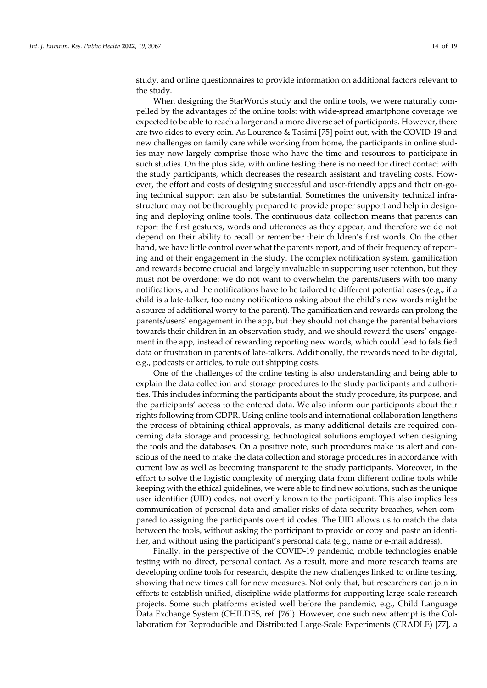study, and online questionnaires to provide information on additional factors relevant to the study.

When designing the StarWords study and the online tools, we were naturally compelled by the advantages of the online tools: with wide-spread smartphone coverage we expected to be able to reach a larger and a more diverse set of participants. However, there are two sides to every coin. As Lourenco & Tasimi [75] point out, with the COVID-19 and new challenges on family care while working from home, the participants in online studies may now largely comprise those who have the time and resources to participate in such studies. On the plus side, with online testing there is no need for direct contact with the study participants, which decreases the research assistant and traveling costs. However, the effort and costs of designing successful and user-friendly apps and their on-going technical support can also be substantial. Sometimes the university technical infrastructure may not be thoroughly prepared to provide proper support and help in designing and deploying online tools. The continuous data collection means that parents can report the first gestures, words and utterances as they appear, and therefore we do not depend on their ability to recall or remember their children's first words. On the other hand, we have little control over what the parents report, and of their frequency of reporting and of their engagement in the study. The complex notification system, gamification and rewards become crucial and largely invaluable in supporting user retention, but they must not be overdone: we do not want to overwhelm the parents/users with too many notifications, and the notifications have to be tailored to different potential cases (e.g., if a child is a late-talker, too many notifications asking about the child's new words might be a source of additional worry to the parent). The gamification and rewards can prolong the parents/users' engagement in the app, but they should not change the parental behaviors towards their children in an observation study, and we should reward the users' engagement in the app, instead of rewarding reporting new words, which could lead to falsified data or frustration in parents of late-talkers. Additionally, the rewards need to be digital, e.g., podcasts or articles, to rule out shipping costs.

One of the challenges of the online testing is also understanding and being able to explain the data collection and storage procedures to the study participants and authorities. This includes informing the participants about the study procedure, its purpose, and the participants' access to the entered data. We also inform our participants about their rights following from GDPR. Using online tools and international collaboration lengthens the process of obtaining ethical approvals, as many additional details are required concerning data storage and processing, technological solutions employed when designing the tools and the databases. On a positive note, such procedures make us alert and conscious of the need to make the data collection and storage procedures in accordance with current law as well as becoming transparent to the study participants. Moreover, in the effort to solve the logistic complexity of merging data from different online tools while keeping with the ethical guidelines, we were able to find new solutions, such as the unique user identifier (UID) codes, not overtly known to the participant. This also implies less communication of personal data and smaller risks of data security breaches, when compared to assigning the participants overt id codes. The UID allows us to match the data between the tools, without asking the participant to provide or copy and paste an identifier, and without using the participant's personal data (e.g., name or e-mail address).

Finally, in the perspective of the COVID-19 pandemic, mobile technologies enable testing with no direct, personal contact. As a result, more and more research teams are developing online tools for research, despite the new challenges linked to online testing, showing that new times call for new measures. Not only that, but researchers can join in efforts to establish unified, discipline-wide platforms for supporting large-scale research projects. Some such platforms existed well before the pandemic, e.g., Child Language Data Exchange System (CHILDES, ref. [76]). However, one such new attempt is the Collaboration for Reproducible and Distributed Large-Scale Experiments (CRADLE) [77], a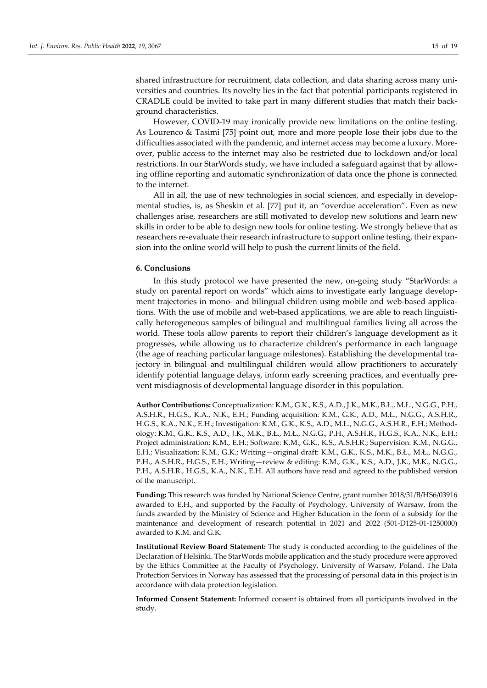shared infrastructure for recruitment, data collection, and data sharing across many universities and countries. Its novelty lies in the fact that potential participants registered in CRADLE could be invited to take part in many different studies that match their background characteristics.

However, COVID-19 may ironically provide new limitations on the online testing. As Lourenco & Tasimi [75] point out, more and more people lose their jobs due to the difficulties associated with the pandemic, and internet access may become a luxury. Moreover, public access to the internet may also be restricted due to lockdown and/or local restrictions. In our StarWords study, we have included a safeguard against that by allowing offline reporting and automatic synchronization of data once the phone is connected to the internet.

All in all, the use of new technologies in social sciences, and especially in developmental studies, is, as Sheskin et al. [77] put it, an "overdue acceleration". Even as new challenges arise, researchers are still motivated to develop new solutions and learn new skills in order to be able to design new tools for online testing. We strongly believe that as researchers re-evaluate their research infrastructure to support online testing, their expansion into the online world will help to push the current limits of the field.

## **6. Conclusions**

In this study protocol we have presented the new, on-going study "StarWords: a study on parental report on words" which aims to investigate early language development trajectories in mono- and bilingual children using mobile and web-based applications. With the use of mobile and web-based applications, we are able to reach linguistically heterogeneous samples of bilingual and multilingual families living all across the world. These tools allow parents to report their children's language development as it progresses, while allowing us to characterize children's performance in each language (the age of reaching particular language milestones). Establishing the developmental trajectory in bilingual and multilingual children would allow practitioners to accurately identify potential language delays, inform early screening practices, and eventually prevent misdiagnosis of developmental language disorder in this population.

**Author Contributions:** Conceptualization: K.M., G.K., K.S., A.D., J.K., M.K., B.Ł., M.Ł., N.G.G., P.H., A.S.H.R., H.G.S., K.A., N.K., E.H.; Funding acquisition: K.M., G.K., A.D., M.Ł., N.G.G., A.S.H.R., H.G.S., K.A., N.K., E.H.; Investigation: K.M., G.K., K.S., A.D., M.Ł., N.G.G., A.S.H.R., E.H.; Methodology: K.M., G.K., K.S., A.D., J.K., M.K., B.Ł., M.Ł., N.G.G., P.H., A.S.H.R., H.G.S., K.A., N.K., E.H.; Project administration: K.M., E.H.; Software: K.M., G.K., K.S., A.S.H.R.; Supervision: K.M., N.G.G., E.H.; Visualization: K.M., G.K.; Writing—original draft: K.M., G.K., K.S., M.K., B.Ł., M.Ł., N.G.G., P.H., A.S.H.R., H.G.S., E.H.; Writing—review & editing: K.M., G.K., K.S., A.D., J.K., M.K., N.G.G., P.H., A.S.H.R., H.G.S., K.A., N.K., E.H. All authors have read and agreed to the published version of the manuscript.

**Funding:** This research was funded by National Science Centre, grant number 2018/31/B/HS6/03916 awarded to E.H., and supported by the Faculty of Psychology, University of Warsaw, from the funds awarded by the Ministry of Science and Higher Education in the form of a subsidy for the maintenance and development of research potential in 2021 and 2022 (501-D125-01-1250000) awarded to K.M. and G.K.

**Institutional Review Board Statement:** The study is conducted according to the guidelines of the Declaration of Helsinki. The StarWords mobile application and the study procedure were approved by the Ethics Committee at the Faculty of Psychology, University of Warsaw, Poland. The Data Protection Services in Norway has assessed that the processing of personal data in this project is in accordance with data protection legislation.

**Informed Consent Statement:** Informed consent is obtained from all participants involved in the study.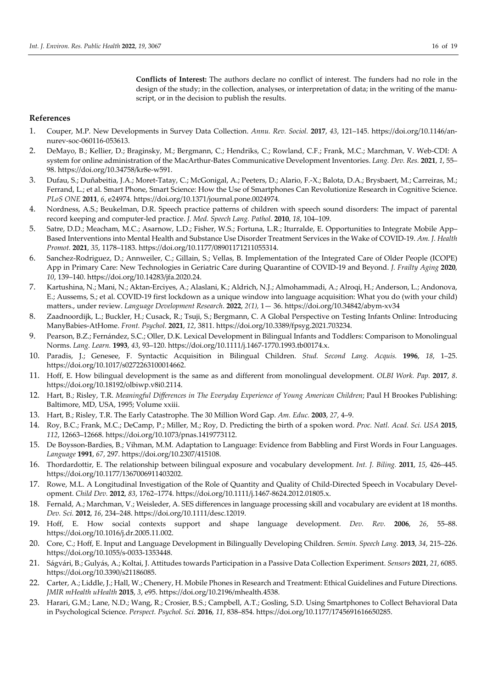# **References**

- 1. Couper, M.P. New Developments in Survey Data Collection. *Annu. Rev. Sociol.* **2017**, *43*, 121–145. https://doi.org/10.1146/annurev-soc-060116-053613.
- 2. DeMayo, B.; Kellier, D.; Braginsky, M.; Bergmann, C.; Hendriks, C.; Rowland, C.F.; Frank, M.C.; Marchman, V. Web-CDI: A system for online administration of the MacArthur-Bates Communicative Development Inventories. *Lang. Dev. Res.* **2021**, *1*, 55– 98. https://doi.org/10.34758/kr8e-w591.
- 3. Dufau, S.; Duñabeitia, J.A.; Moret-Tatay, C.; McGonigal, A.; Peeters, D.; Alario, F.-X.; Balota, D.A.; Brysbaert, M.; Carreiras, M.; Ferrand, L.; et al. Smart Phone, Smart Science: How the Use of Smartphones Can Revolutionize Research in Cognitive Science. *PLoS ONE* **2011**, *6*, e24974. https://doi.org/10.1371/journal.pone.0024974.
- 4. Nordness, A.S.; Beukelman, D.R. Speech practice patterns of children with speech sound disorders: The impact of parental record keeping and computer-led practice. *J. Med. Speech Lang. Pathol.* **2010**, *18*, 104–109.
- 5. Satre, D.D.; Meacham, M.C.; Asarnow, L.D.; Fisher, W.S.; Fortuna, L.R.; Iturralde, E. Opportunities to Integrate Mobile App– Based Interventions into Mental Health and Substance Use Disorder Treatment Services in the Wake of COVID-19. *Am. J. Health Promot.* **2021**, *35*, 1178–1183. https://doi.org/10.1177/08901171211055314.
- 6. Sanchez-Rodriguez, D.; Annweiler, C.; Gillain, S.; Vellas, B. Implementation of the Integrated Care of Older People (ICOPE) App in Primary Care: New Technologies in Geriatric Care during Quarantine of COVID-19 and Beyond. *J. Frailty Aging* **2020**, *10*, 139–140. https://doi.org/10.14283/jfa.2020.24.
- 7. Kartushina, N.; Mani, N.; Aktan-Erciyes, A.; Alaslani, K.; Aldrich, N.J.; Almohammadi, A.; Alroqi, H.; Anderson, L.; Andonova, E.; Aussems, S.; et al. COVID-19 first lockdown as a unique window into language acquisition: What you do (with your child) matters., under review. *Language Development Research*. **2022**, *2(1),* 1— 36. https://doi.org/10.34842/abym-xv34
- 8. Zaadnoordijk, L.; Buckler, H.; Cusack, R.; Tsuji, S.; Bergmann, C. A Global Perspective on Testing Infants Online: Introducing ManyBabies-AtHome. *Front. Psychol.* **2021**, *12*, 3811. https://doi.org/10.3389/fpsyg.2021.703234.
- 9. Pearson, B.Z.; Fernández, S.C.; Oller, D.K. Lexical Development in Bilingual Infants and Toddlers: Comparison to Monolingual Norms. *Lang. Learn.* **1993**, *43*, 93–120. https://doi.org/10.1111/j.1467-1770.1993.tb00174.x.
- 10. Paradis, J.; Genesee, F. Syntactic Acquisition in Bilingual Children. *Stud. Second Lang. Acquis.* **1996**, *18*, 1–25. https://doi.org/10.1017/s0272263100014662.
- 11. Hoff, E. How bilingual development is the same as and different from monolingual development. *OLBI Work. Pap.* **2017**, *8*. https://doi.org/10.18192/olbiwp.v8i0.2114.
- 12. Hart, B.; Risley, T.R. *Meaningful Differences in The Everyday Experience of Young American Children*; Paul H Brookes Publishing: Baltimore, MD, USA, 1995; Volume xxiii.
- 13. Hart, B.; Risley, T.R. The Early Catastrophe. The 30 Million Word Gap. *Am. Educ.* **2003**, *27*, 4–9.
- 14. Roy, B.C.; Frank, M.C.; DeCamp, P.; Miller, M.; Roy, D. Predicting the birth of a spoken word. *Proc. Natl. Acad. Sci. USA* **2015**, *112*, 12663–12668. https://doi.org/10.1073/pnas.1419773112.
- 15. De Boysson-Bardies, B.; Vihman, M.M. Adaptation to Language: Evidence from Babbling and First Words in Four Languages. *Language* **1991**, *67*, 297. https://doi.org/10.2307/415108.
- 16. Thordardottir, E. The relationship between bilingual exposure and vocabulary development. *Int. J. Biling.* **2011**, *15*, 426–445. https://doi.org/10.1177/1367006911403202.
- 17. Rowe, M.L. A Longitudinal Investigation of the Role of Quantity and Quality of Child-Directed Speech in Vocabulary Development. *Child Dev.* **2012**, *83*, 1762–1774. https://doi.org/10.1111/j.1467-8624.2012.01805.x.
- 18. Fernald, A.; Marchman, V.; Weisleder, A. SES differences in language processing skill and vocabulary are evident at 18 months. *Dev. Sci.* **2012**, *16*, 234–248. https://doi.org/10.1111/desc.12019.
- 19. Hoff, E. How social contexts support and shape language development. *Dev. Rev.* **2006**, *26*, 55–88. https://doi.org/10.1016/j.dr.2005.11.002.
- 20. Core, C.; Hoff, E. Input and Language Development in Bilingually Developing Children. *Semin. Speech Lang.* **2013**, *34*, 215–226. https://doi.org/10.1055/s-0033-1353448.
- 21. Ságvári, B.; Gulyás, A.; Koltai, J. Attitudes towards Participation in a Passive Data Collection Experiment. *Sensors* **2021**, *21*, 6085. https://doi.org/10.3390/s21186085.
- 22. Carter, A.; Liddle, J.; Hall, W.; Chenery, H. Mobile Phones in Research and Treatment: Ethical Guidelines and Future Directions. *JMIR mHealth uHealth* **2015**, *3*, e95. https://doi.org/10.2196/mhealth.4538.
- 23. Harari, G.M.; Lane, N.D.; Wang, R.; Crosier, B.S.; Campbell, A.T.; Gosling, S.D. Using Smartphones to Collect Behavioral Data in Psychological Science. *Perspect. Psychol. Sci.* **2016**, *11*, 838–854. https://doi.org/10.1177/1745691616650285.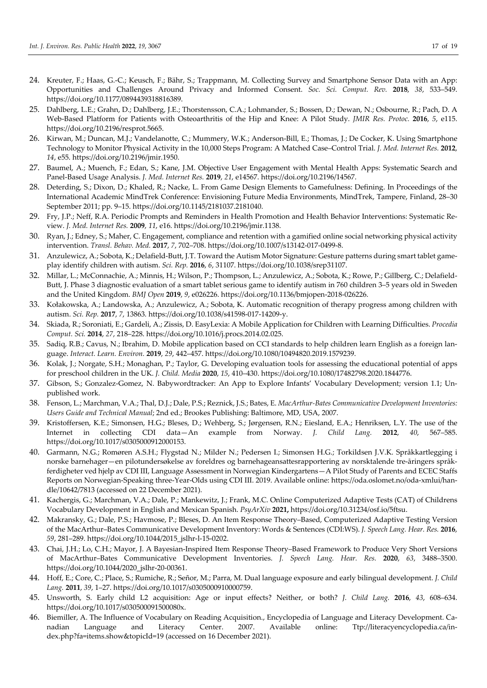- 24. Kreuter, F.; Haas, G.-C.; Keusch, F.; Bähr, S.; Trappmann, M. Collecting Survey and Smartphone Sensor Data with an App: Opportunities and Challenges Around Privacy and Informed Consent. *Soc. Sci. Comput. Rev.* **2018**, *38*, 533–549. https://doi.org/10.1177/0894439318816389.
- 25. Dahlberg, L.E.; Grahn, D.; Dahlberg, J.E.; Thorstensson, C.A.; Lohmander, S.; Bossen, D.; Dewan, N.; Osbourne, R.; Pach, D. A Web-Based Platform for Patients with Osteoarthritis of the Hip and Knee: A Pilot Study. *JMIR Res. Protoc.* **2016**, *5*, e115. https://doi.org/10.2196/resprot.5665.
- 26. Kirwan, M.; Duncan, M.J.; Vandelanotte, C.; Mummery, W.K.; Anderson-Bill, E.; Thomas, J.; De Cocker, K. Using Smartphone Technology to Monitor Physical Activity in the 10,000 Steps Program: A Matched Case–Control Trial. *J. Med. Internet Res.* **2012**, *14*, e55. https://doi.org/10.2196/jmir.1950.
- 27. Baumel, A.; Muench, F.; Edan, S.; Kane, J.M. Objective User Engagement with Mental Health Apps: Systematic Search and Panel-Based Usage Analysis. *J. Med. Internet Res.* **2019**, *21*, e14567. https://doi.org/10.2196/14567.
- 28. Deterding, S.; Dixon, D.; Khaled, R.; Nacke, L. From Game Design Elements to Gamefulness: Defining. In Proceedings of the International Academic MindTrek Conference: Envisioning Future Media Environments, MindTrek, Tampere, Finland, 28–30 September 2011; pp. 9–15. https://doi.org/10.1145/2181037.2181040.
- 29. Fry, J.P.; Neff, R.A. Periodic Prompts and Reminders in Health Promotion and Health Behavior Interventions: Systematic Review. *J. Med. Internet Res.* **2009**, *11*, e16. https://doi.org/10.2196/jmir.1138.
- 30. Ryan, J.; Edney, S.; Maher, C. Engagement, compliance and retention with a gamified online social networking physical activity intervention. *Transl. Behav. Med.* **2017**, *7*, 702–708. https://doi.org/10.1007/s13142-017-0499-8.
- 31. Anzulewicz, A.; Sobota, K.; Delafield-Butt, J.T. Toward the Autism Motor Signature: Gesture patterns during smart tablet gameplay identify children with autism. *Sci. Rep.* **2016**, *6*, 31107. https://doi.org/10.1038/srep31107.
- 32. Millar, L.; McConnachie, A.; Minnis, H.; Wilson, P.; Thompson, L.; Anzulewicz, A.; Sobota, K.; Rowe, P.; Gillberg, C.; Delafield-Butt, J. Phase 3 diagnostic evaluation of a smart tablet serious game to identify autism in 760 children 3–5 years old in Sweden and the United Kingdom. *BMJ Open* **2019**, *9*, e026226. https://doi.org/10.1136/bmjopen-2018-026226.
- 33. Kołakowska, A.; Landowska, A.; Anzulewicz, A.; Sobota, K. Automatic recognition of therapy progress among children with autism. *Sci. Rep.* **2017**, *7*, 13863. https://doi.org/10.1038/s41598-017-14209-y.
- 34. Skiada, R.; Soroniati, E.; Gardeli, A.; Zissis, D. EasyLexia: A Mobile Application for Children with Learning Difficulties. *Procedia Comput. Sci.* **2014**, *27*, 218–228. https://doi.org/10.1016/j.procs.2014.02.025.
- 35. Sadiq, R.B.; Cavus, N.; Ibrahim, D. Mobile application based on CCI standards to help children learn English as a foreign language. *Interact. Learn. Environ.* **2019**, *29*, 442–457. https://doi.org/10.1080/10494820.2019.1579239.
- 36. Kolak, J.; Norgate, S.H.; Monaghan, P.; Taylor, G. Developing evaluation tools for assessing the educational potential of apps for preschool children in the UK. *J. Child. Media* **2020**, *15*, 410–430. https://doi.org/10.1080/17482798.2020.1844776.
- 37. Gibson, S.; Gonzalez-Gomez, N. Babywordtracker: An App to Explore Infants' Vocabulary Development; version 1.1; Unpublished work.
- 38. Fenson, L.; Marchman, V.A.; Thal, D.J.; Dale, P.S.; Reznick, J.S.; Bates, E. *MacArthur-Bates Communicative Development Inventories: Users Guide and Technical Manual*; 2nd ed.; Brookes Publishing: Baltimore, MD, USA, 2007.
- 39. Kristoffersen, K.E.; Simonsen, H.G.; Bleses, D.; Wehberg, S.; Jørgensen, R.N.; Eiesland, E.A.; Henriksen, L.Y. The use of the Internet in collecting CDI data—An example from Norway. *J. Child Lang.* **2012**, *40*, 567–585. https://doi.org/10.1017/s0305000912000153.
- 40. Garmann, N.G.; Romøren A.S.H.; Flygstad N.; Milder N.; Pedersen I.; Simonsen H.G.; Torkildsen J.V.K. Språkkartlegging i norske barnehager—en pilotundersøkelse av foreldres og barnehageansattesrapportering av norsktalende tre-åringers språkferdigheter ved hjelp av CDI III, Language Assessment in Norwegian Kindergartens—A Pilot Study of Parents and ECEC Staffs Reports on Norwegian-Speaking three-Year-Olds using CDI III. 2019. Available online: https://oda.oslomet.no/oda-xmlui/handle/10642/7813 (accessed on 22 December 2021).
- 41. Kachergis, G.; Marchman, V.A.; Dale, P.; Mankewitz, J.; Frank, M.C. Online Computerized Adaptive Tests (CAT) of Childrens Vocabulary Development in English and Mexican Spanish. *PsyArXiv* **2021,** https://doi.org/10.31234/osf.io/5ftsu.
- 42. Makransky, G.; Dale, P.S.; Havmose, P.; Bleses, D. An Item Response Theory–Based, Computerized Adaptive Testing Version of the MacArthur–Bates Communicative Development Inventory: Words & Sentences (CDI:WS). *J. Speech Lang. Hear. Res.* **2016**, *59*, 281–289. https://doi.org/10.1044/2015\_jslhr-l-15-0202.
- 43. Chai, J.H.; Lo, C.H.; Mayor, J. A Bayesian-Inspired Item Response Theory–Based Framework to Produce Very Short Versions of MacArthur–Bates Communicative Development Inventories. *J. Speech Lang. Hear. Res.* **2020**, *63*, 3488–3500. https://doi.org/10.1044/2020\_jslhr-20-00361.
- 44. Hoff, E.; Core, C.; Place, S.; Rumiche, R.; Señor, M.; Parra, M. Dual language exposure and early bilingual development. *J. Child Lang.* **2011**, *39*, 1–27. https://doi.org/10.1017/s0305000910000759.
- 45. Unsworth, S. Early child L2 acquisition: Age or input effects? Neither, or both? *J. Child Lang.* **2016**, *43*, 608–634. https://doi.org/10.1017/s030500091500080x.
- 46. Biemiller, A. The Influence of Vocabulary on Reading Acquisition., Encyclopedia of Language and Literacy Development. Canadian Language and Literacy Center. 2007. Available online: Ttp://literacyencyclopedia.ca/index.php?fa=items.show&topicId=19 (accessed on 16 December 2021).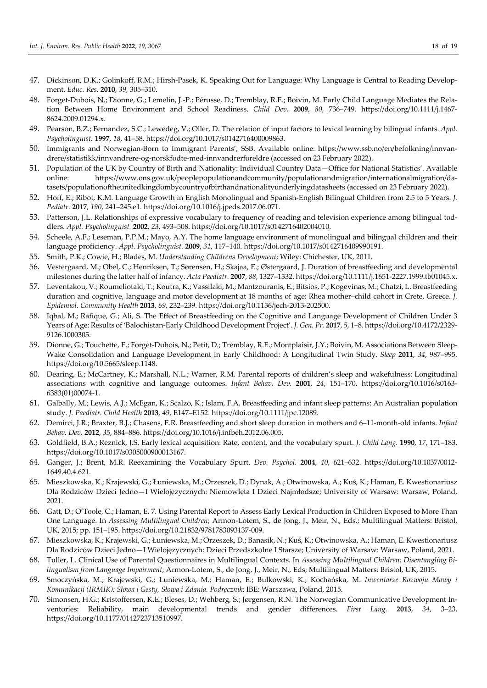- 47. Dickinson, D.K.; Golinkoff, R.M.; Hirsh-Pasek, K. Speaking Out for Language: Why Language is Central to Reading Development. *Educ. Res.* **2010**, *39*, 305–310.
- 48. Forget-Dubois, N.; Dionne, G.; Lemelin, J.-P.; Pérusse, D.; Tremblay, R.E.; Boivin, M. Early Child Language Mediates the Relation Between Home Environment and School Readiness. *Child Dev.* **2009**, *80*, 736–749. https://doi.org/10.1111/j.1467- 8624.2009.01294.x.
- 49. Pearson, B.Z.; Fernandez, S.C.; Lewedeg, V.; Oller, D. The relation of input factors to lexical learning by bilingual infants. *Appl. Psycholinguist.* **1997**, *18*, 41–58. https://doi.org/10.1017/s0142716400009863.
- 50. Immigrants and Norwegian-Born to Immigrant Parents', SSB. Available online: https://www.ssb.no/en/befolkning/innvandrere/statistikk/innvandrere-og-norskfodte-med-innvandrerforeldre (accessed on 23 February 2022).
- 51. Population of the UK by Country of Birth and Nationality: Individual Country Data—Office for National Statistics'. Available online: https://www.ons.gov.uk/peoplepopulationandcommunity/populationandmigration/internationalmigration/datasets/populationoftheunitedkingdombycountryofbirthandnationalityunderlyingdatasheets (accessed on 23 February 2022).
- 52. Hoff, E.; Ribot, K.M. Language Growth in English Monolingual and Spanish-English Bilingual Children from 2.5 to 5 Years. *J. Pediatr.* **2017**, *190*, 241–245.e1. https://doi.org/10.1016/j.jpeds.2017.06.071.
- 53. Patterson, J.L. Relationships of expressive vocabulary to frequency of reading and television experience among bilingual toddlers. *Appl. Psycholinguist.* **2002**, *23*, 493–508. https://doi.org/10.1017/s0142716402004010.
- 54. Scheele, A.F.; Leseman, P.P.M.; Mayo, A.Y. The home language environment of monolingual and bilingual children and their language proficiency. *Appl. Psycholinguist.* **2009**, *31*, 117–140. https://doi.org/10.1017/s0142716409990191.
- 55. Smith, P.K.; Cowie, H.; Blades, M. *Understanding Childrens Development*; Wiley: Chichester, UK, 2011.
- 56. Vestergaard, M.; Obel, C.; Henriksen, T.; Sørensen, H.; Skajaa, E.; Østergaard, J. Duration of breastfeeding and developmental milestones during the latter half of infancy. *Acta Paediatr.* **2007**, *88*, 1327–1332. https://doi.org/10.1111/j.1651-2227.1999.tb01045.x.
- 57. Leventakou, V.; Roumeliotaki, T.; Koutra, K.; Vassilaki, M.; Mantzouranis, E.; Bitsios, P.; Kogevinas, M.; Chatzi, L. Breastfeeding duration and cognitive, language and motor development at 18 months of age: Rhea mother–child cohort in Crete, Greece. *J. Epidemiol. Community Health* **2013**, *69*, 232–239. https://doi.org/10.1136/jech-2013-202500.
- 58. Iqbal, M.; Rafique, G.; Ali, S. The Effect of Breastfeeding on the Cognitive and Language Development of Children Under 3 Years of Age: Results of 'Balochistan-Early Childhood Development Project'. *J. Gen. Pr.* **2017**, *5*, 1–8. https://doi.org/10.4172/2329- 9126.1000305.
- 59. Dionne, G.; Touchette, E.; Forget-Dubois, N.; Petit, D.; Tremblay, R.E.; Montplaisir, J.Y.; Boivin, M. Associations Between Sleep-Wake Consolidation and Language Development in Early Childhood: A Longitudinal Twin Study. *Sleep* **2011**, *34*, 987–995. https://doi.org/10.5665/sleep.1148.
- 60. Dearing, E.; McCartney, K.; Marshall, N.L.; Warner, R.M. Parental reports of children's sleep and wakefulness: Longitudinal associations with cognitive and language outcomes. *Infant Behav. Dev.* **2001**, *24*, 151–170. https://doi.org/10.1016/s0163- 6383(01)00074-1.
- 61. Galbally, M.; Lewis, A.J.; McEgan, K.; Scalzo, K.; Islam, F.A. Breastfeeding and infant sleep patterns: An Australian population study. *J. Paediatr. Child Health* **2013**, *49*, E147–E152. https://doi.org/10.1111/jpc.12089.
- 62. Demirci, J.R.; Braxter, B.J.; Chasens, E.R. Breastfeeding and short sleep duration in mothers and 6–11-month-old infants. *Infant Behav. Dev.* **2012**, *35*, 884–886. https://doi.org/10.1016/j.infbeh.2012.06.005.
- 63. Goldfield, B.A.; Reznick, J.S. Early lexical acquisition: Rate, content, and the vocabulary spurt. *J. Child Lang.* **1990**, *17*, 171–183. https://doi.org/10.1017/s0305000900013167.
- 64. Ganger, J.; Brent, M.R. Reexamining the Vocabulary Spurt. *Dev. Psychol.* **2004**, *40*, 621–632. https://doi.org/10.1037/0012- 1649.40.4.621.
- 65. Mieszkowska, K.; Krajewski, G.; Łuniewska, M.; Orzeszek, D.; Dynak, A.; Otwinowska, A.; Kuś, K.; Haman, E. Kwestionariusz Dla Rodziców Dzieci Jedno—I Wielojęzycznych: Niemowlęta I Dzieci Najmłodsze; University of Warsaw: Warsaw, Poland, 2021.
- 66. Gatt, D.; O'Toole, C.; Haman, E. 7. Using Parental Report to Assess Early Lexical Production in Children Exposed to More Than One Language. In *Assessing Multilingual Children*; Armon-Lotem, S., de Jong, J., Meir, N., Eds.; Multilingual Matters: Bristol, UK, 2015; pp. 151–195. https://doi.org/10.21832/9781783093137-009.
- 67. Mieszkowska, K.; Krajewski, G.; Łuniewska, M.; Orzeszek, D.; Banasik, N.; Kuś, K.; Otwinowska, A.; Haman, E. Kwestionariusz Dla Rodziców Dzieci Jedno—I Wielojęzycznych: Dzieci Przedszkolne I Starsze; University of Warsaw: Warsaw, Poland, 2021.
- 68. Tuller, L. Clinical Use of Parental Questionnaires in Multilingual Contexts. In *Assessing Multilingual Children: Disentangling Bilingualism from Language Impairment*; Armon-Lotem, S., de Jong, J., Meir, N., Eds; Multilingual Matters: Bristol, UK, 2015.
- 69. Smoczyńska, M.; Krajewski, G.; Łuniewska, M.; Haman, E.; Bulkowski, K.; Kochańska, M. *Inwentarze Rozwoju Mowy i Komunikacji (IRMIK): Słowa i Gesty, Słowa i Zdania. Podręcznik*; IBE: Warszawa, Poland, 2015.
- 70. Simonsen, H.G.; Kristoffersen, K.E.; Bleses, D.; Wehberg, S.; Jørgensen, R.N. The Norwegian Communicative Development Inventories: Reliability, main developmental trends and gender differences. *First Lang.* **2013**, *34*, 3–23. https://doi.org/10.1177/0142723713510997.